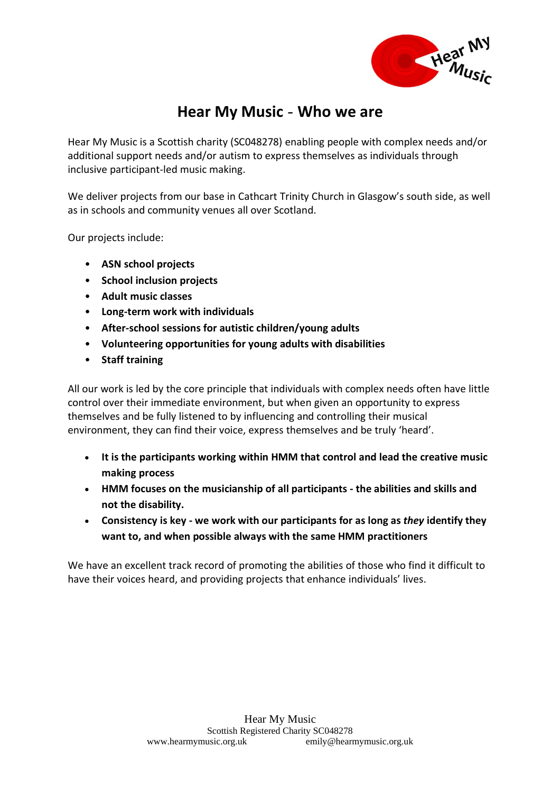

## **Hear My Music** - **Who we are**

Hear My Music is a Scottish charity (SC048278) enabling people with complex needs and/or additional support needs and/or autism to express themselves as individuals through inclusive participant-led music making.

We deliver projects from our base in Cathcart Trinity Church in Glasgow's south side, as well as in schools and community venues all over Scotland.

Our projects include:

- **ASN school projects**
- **School inclusion projects**
- **Adult music classes**
- **Long-term work with individuals**
- **After-school sessions for autistic children/young adults**
- **Volunteering opportunities for young adults with disabilities**
- **Staff training**

All our work is led by the core principle that individuals with complex needs often have little control over their immediate environment, but when given an opportunity to express themselves and be fully listened to by influencing and controlling their musical environment, they can find their voice, express themselves and be truly 'heard'.

- **It is the participants working within HMM that control and lead the creative music making process**
- **HMM focuses on the musicianship of all participants - the abilities and skills and not the disability.**
- **Consistency is key - we work with our participants for as long as** *they* **identify they want to, and when possible always with the same HMM practitioners**

We have an excellent track record of promoting the abilities of those who find it difficult to have their voices heard, and providing projects that enhance individuals' lives.